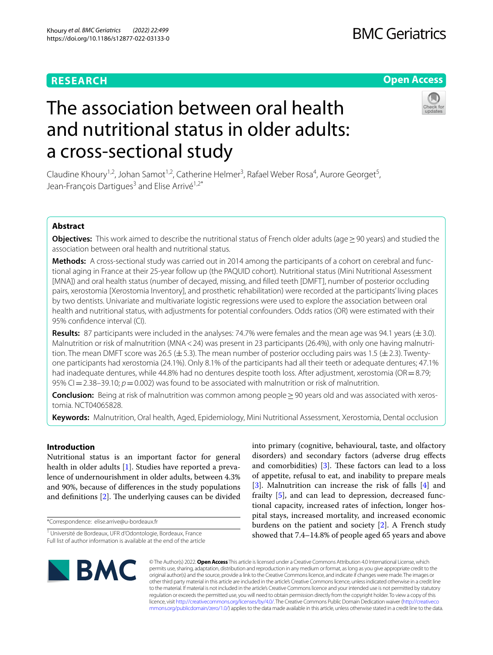# **RESEARCH**

# **BMC Geriatrics**

# **Open Access**

# The association between oral health and nutritional status in older adults: a cross-sectional study

Claudine Khoury<sup>1,2</sup>, Johan Samot<sup>1,2</sup>, Catherine Helmer<sup>3</sup>, Rafael Weber Rosa<sup>4</sup>, Aurore Georget<sup>5</sup>, Jean-François Dartiques<sup>3</sup> and Elise Arrivé<sup>1,2\*</sup>

# **Abstract**

**Objectives:** This work aimed to describe the nutritional status of French older adults (age≥90 years) and studied the association between oral health and nutritional status.

Methods: A cross-sectional study was carried out in 2014 among the participants of a cohort on cerebral and functional aging in France at their 25-year follow up (the PAQUID cohort). Nutritional status (Mini Nutritional Assessment [MNA]) and oral health status (number of decayed, missing, and flled teeth [DMFT], number of posterior occluding pairs, xerostomia [Xerostomia Inventory], and prosthetic rehabilitation) were recorded at the participants' living places by two dentists. Univariate and multivariate logistic regressions were used to explore the association between oral health and nutritional status, with adjustments for potential confounders. Odds ratios (OR) were estimated with their 95% confdence interval (CI).

**Results:** 87 participants were included in the analyses: 74.7% were females and the mean age was 94.1 years (±3.0). Malnutrition or risk of malnutrition (MNA < 24) was present in 23 participants (26.4%), with only one having malnutrition. The mean DMFT score was 26.5 ( $\pm$  5.3). The mean number of posterior occluding pairs was 1.5 ( $\pm$  2.3). Twentyone participants had xerostomia (24.1%). Only 8.1% of the participants had all their teeth or adequate dentures; 47.1% had inadequate dentures, while 44.8% had no dentures despite tooth loss. After adjustment, xerostomia (OR=8.79; 95% CI=2.38–39.10;  $p=0.002$ ) was found to be associated with malnutrition or risk of malnutrition.

**Conclusion:** Being at risk of malnutrition was common among people ≥90 years old and was associated with xerostomia. NCT04065828.

**Keywords:** Malnutrition, Oral health, Aged, Epidemiology, Mini Nutritional Assessment, Xerostomia, Dental occlusion

# **Introduction**

Nutritional status is an important factor for general health in older adults [[1\]](#page-5-4). Studies have reported a prevalence of undernourishment in older adults, between 4.3% and 90%, because of diferences in the study populations and definitions  $[2]$  $[2]$ . The underlying causes can be divided

\*Correspondence: elise.arrive@u-bordeaux.fr

into primary (cognitive, behavioural, taste, and olfactory disorders) and secondary factors (adverse drug efects and comorbidities)  $[3]$  $[3]$ . These factors can lead to a loss of appetite, refusal to eat, and inability to prepare meals [[3\]](#page-5-0). Malnutrition can increase the risk of falls [[4\]](#page-5-1) and frailty [\[5](#page-5-2)], and can lead to depression, decreased functional capacity, increased rates of infection, longer hospital stays, increased mortality, and increased economic burdens on the patient and society [[2](#page-5-3)]. A French study showed that 7.4–14.8% of people aged 65 years and above



© The Author(s) 2022. **Open Access** This article is licensed under a Creative Commons Attribution 4.0 International License, which permits use, sharing, adaptation, distribution and reproduction in any medium or format, as long as you give appropriate credit to the original author(s) and the source, provide a link to the Creative Commons licence, and indicate if changes were made. The images or other third party material in this article are included in the article's Creative Commons licence, unless indicated otherwise in a credit line to the material. If material is not included in the article's Creative Commons licence and your intended use is not permitted by statutory regulation or exceeds the permitted use, you will need to obtain permission directly from the copyright holder. To view a copy of this licence, visit [http://creativecommons.org/licenses/by/4.0/.](http://creativecommons.org/licenses/by/4.0/) The Creative Commons Public Domain Dedication waiver ([http://creativeco](http://creativecommons.org/publicdomain/zero/1.0/) [mmons.org/publicdomain/zero/1.0/](http://creativecommons.org/publicdomain/zero/1.0/)) applies to the data made available in this article, unless otherwise stated in a credit line to the data.

<sup>&</sup>lt;sup>1</sup> Université de Bordeaux, UFR d'Odontologie, Bordeaux, France Full list of author information is available at the end of the article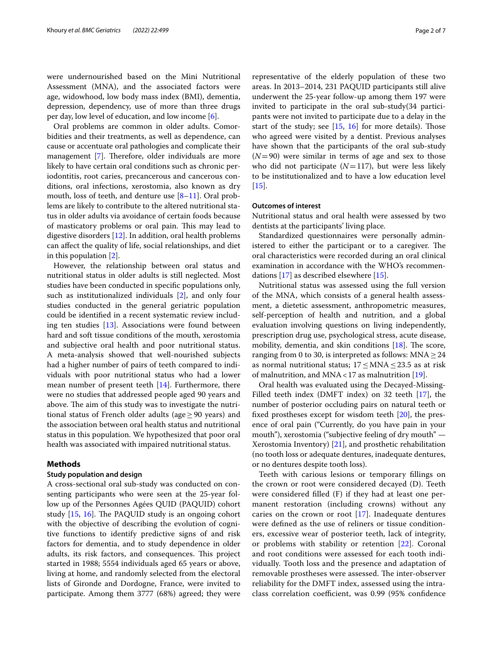were undernourished based on the Mini Nutritional Assessment (MNA), and the associated factors were age, widowhood, low body mass index (BMI), dementia, depression, dependency, use of more than three drugs per day, low level of education, and low income [\[6](#page-5-5)].

Oral problems are common in older adults. Comorbidities and their treatments, as well as dependence, can cause or accentuate oral pathologies and complicate their management  $[7]$  $[7]$ . Therefore, older individuals are more likely to have certain oral conditions such as chronic periodontitis, root caries, precancerous and cancerous conditions, oral infections, xerostomia, also known as dry mouth, loss of teeth, and denture use  $[8-11]$  $[8-11]$ . Oral problems are likely to contribute to the altered nutritional status in older adults via avoidance of certain foods because of masticatory problems or oral pain. This may lead to digestive disorders [\[12](#page-6-1)]. In addition, oral health problems can afect the quality of life, social relationships, and diet in this population [[2](#page-5-3)].

However, the relationship between oral status and nutritional status in older adults is still neglected. Most studies have been conducted in specifc populations only, such as institutionalized individuals [[2\]](#page-5-3), and only four studies conducted in the general geriatric population could be identifed in a recent systematic review including ten studies [[13](#page-6-2)]. Associations were found between hard and soft tissue conditions of the mouth, xerostomia and subjective oral health and poor nutritional status. A meta-analysis showed that well-nourished subjects had a higher number of pairs of teeth compared to individuals with poor nutritional status who had a lower mean number of present teeth [\[14](#page-6-3)]. Furthermore, there were no studies that addressed people aged 90 years and above. The aim of this study was to investigate the nutritional status of French older adults (age≥90 years) and the association between oral health status and nutritional status in this population. We hypothesized that poor oral health was associated with impaired nutritional status.

# **Methods**

# **Study population and design**

A cross-sectional oral sub-study was conducted on consenting participants who were seen at the 25-year follow up of the Personnes Agées QUID (PAQUID) cohort study  $[15, 16]$  $[15, 16]$  $[15, 16]$  $[15, 16]$ . The PAQUID study is an ongoing cohort with the objective of describing the evolution of cognitive functions to identify predictive signs of and risk factors for dementia, and to study dependence in older adults, its risk factors, and consequences. This project started in 1988; 5554 individuals aged 65 years or above, living at home, and randomly selected from the electoral lists of Gironde and Dordogne, France, were invited to participate. Among them 3777 (68%) agreed; they were representative of the elderly population of these two areas. In 2013–2014, 231 PAQUID participants still alive underwent the 25-year follow-up among them 197 were invited to participate in the oral sub-study(34 participants were not invited to participate due to a delay in the start of the study; see  $[15, 16]$  $[15, 16]$  $[15, 16]$  $[15, 16]$  for more details). Those who agreed were visited by a dentist. Previous analyses have shown that the participants of the oral sub-study  $(N=90)$  were similar in terms of age and sex to those who did not participate (*N*=117), but were less likely to be institutionalized and to have a low education level  $[15]$  $[15]$ .

# **Outcomes of interest**

Nutritional status and oral health were assessed by two dentists at the participants' living place.

Standardized questionnaires were personally administered to either the participant or to a caregiver. The oral characteristics were recorded during an oral clinical examination in accordance with the WHO's recommendations [\[17](#page-6-6)] as described elsewhere [\[15](#page-6-4)].

Nutritional status was assessed using the full version of the MNA, which consists of a general health assessment, a dietetic assessment, anthropometric measures, self-perception of health and nutrition, and a global evaluation involving questions on living independently, prescription drug use, psychological stress, acute disease, mobility, dementia, and skin conditions  $[18]$ . The score, ranging from 0 to 30, is interpreted as follows:  $MNA \geq 24$ as normal nutritional status; 17≤MNA≤23.5 as at risk of malnutrition, and  $MNA < 17$  as malnutrition [\[19](#page-6-8)].

Oral health was evaluated using the Decayed-Missing-Filled teeth index (DMFT index) on 32 teeth [\[17\]](#page-6-6), the number of posterior occluding pairs on natural teeth or fxed prostheses except for wisdom teeth [[20](#page-6-9)], the presence of oral pain ("Currently, do you have pain in your mouth"), xerostomia ("subjective feeling of dry mouth" — Xerostomia Inventory) [[21\]](#page-6-10), and prosthetic rehabilitation (no tooth loss or adequate dentures, inadequate dentures, or no dentures despite tooth loss).

Teeth with carious lesions or temporary fllings on the crown or root were considered decayed (D). Teeth were considered flled (F) if they had at least one permanent restoration (including crowns) without any caries on the crown or root [\[17](#page-6-6)]. Inadequate dentures were defned as the use of reliners or tissue conditioners, excessive wear of posterior teeth, lack of integrity, or problems with stability or retention [\[22](#page-6-11)]. Coronal and root conditions were assessed for each tooth individually. Tooth loss and the presence and adaptation of removable prostheses were assessed. The inter-observer reliability for the DMFT index, assessed using the intraclass correlation coefficient, was 0.99 (95% confidence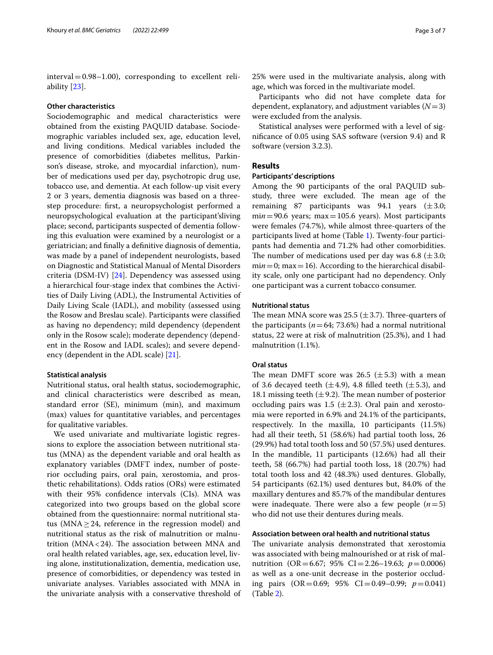$interval = 0.98-1.00$ , corresponding to excellent reliability [\[23](#page-6-12)].

## **Other characteristics**

Sociodemographic and medical characteristics were obtained from the existing PAQUID database. Sociodemographic variables included sex, age, education level, and living conditions. Medical variables included the presence of comorbidities (diabetes mellitus, Parkinson's disease, stroke, and myocardial infarction), number of medications used per day, psychotropic drug use, tobacco use, and dementia. At each follow-up visit every 2 or 3 years, dementia diagnosis was based on a threestep procedure: frst, a neuropsychologist performed a neuropsychological evaluation at the participant'sliving place; second, participants suspected of dementia following this evaluation were examined by a neurologist or a geriatrician; and fnally a defnitive diagnosis of dementia, was made by a panel of independent neurologists, based on Diagnostic and Statistical Manual of Mental Disorders criteria (DSM-IV) [\[24](#page-6-13)]. Dependency was assessed using a hierarchical four-stage index that combines the Activities of Daily Living (ADL), the Instrumental Activities of Daily Living Scale (IADL), and mobility (assessed using the Rosow and Breslau scale). Participants were classifed as having no dependency; mild dependency (dependent only in the Rosow scale); moderate dependency (dependent in the Rosow and IADL scales); and severe dependency (dependent in the ADL scale) [\[21\]](#page-6-10).

# **Statistical analysis**

Nutritional status, oral health status, sociodemographic, and clinical characteristics were described as mean, standard error (SE), minimum (min), and maximum (max) values for quantitative variables, and percentages for qualitative variables.

We used univariate and multivariate logistic regressions to explore the association between nutritional status (MNA) as the dependent variable and oral health as explanatory variables (DMFT index, number of posterior occluding pairs, oral pain, xerostomia, and prosthetic rehabilitations). Odds ratios (ORs) were estimated with their 95% confdence intervals (CIs). MNA was categorized into two groups based on the global score obtained from the questionnaire: normal nutritional status ( $MNA \geq 24$ , reference in the regression model) and nutritional status as the risk of malnutrition or malnutrition ( $MNA < 24$ ). The association between  $MNA$  and oral health related variables, age, sex, education level, living alone, institutionalization, dementia, medication use, presence of comorbidities, or dependency was tested in univariate analyses. Variables associated with MNA in the univariate analysis with a conservative threshold of

25% were used in the multivariate analysis, along with age, which was forced in the multivariate model.

Participants who did not have complete data for dependent, explanatory, and adjustment variables (*N*=3) were excluded from the analysis.

Statistical analyses were performed with a level of signifcance of 0.05 using SAS software (version 9.4) and R software (version 3.2.3).

# **Results**

# **Participants' descriptions**

Among the 90 participants of the oral PAQUID substudy, three were excluded. The mean age of the remaining 87 participants was 94.1 years  $(\pm 3.0;$  $min=90.6$  years; max $=105.6$  years). Most participants were females (74.7%), while almost three-quarters of the participants lived at home (Table [1\)](#page-3-0). Twenty-four participants had dementia and 71.2% had other comorbidities. The number of medications used per day was 6.8 ( $\pm$ 3.0;  $min=0$ ; max = 16). According to the hierarchical disability scale, only one participant had no dependency. Only one participant was a current tobacco consumer.

# **Nutritional status**

The mean MNA score was 25.5 ( $\pm$ 3.7). Three-quarters of the participants  $(n=64; 73.6%)$  had a normal nutritional status, 22 were at risk of malnutrition (25.3%), and 1 had malnutrition (1.1%).

# **Oral status**

The mean DMFT score was 26.5 ( $\pm$ 5.3) with a mean of 3.6 decayed teeth  $(\pm 4.9)$ , 4.8 filled teeth  $(\pm 5.3)$ , and 18.1 missing teeth  $(\pm 9.2)$ . The mean number of posterior occluding pairs was 1.5  $(\pm 2.3)$ . Oral pain and xerostomia were reported in 6.9% and 24.1% of the participants, respectively. In the maxilla, 10 participants (11.5%) had all their teeth, 51 (58.6%) had partial tooth loss, 26 (29.9%) had total tooth loss and 50 (57.5%) used dentures. In the mandible, 11 participants (12.6%) had all their teeth, 58 (66.7%) had partial tooth loss, 18 (20.7%) had total tooth loss and 42 (48.3%) used dentures. Globally, 54 participants (62.1%) used dentures but, 84.0% of the maxillary dentures and 85.7% of the mandibular dentures were inadequate. There were also a few people  $(n=5)$ who did not use their dentures during meals.

# **Association between oral health and nutritional status**

The univariate analysis demonstrated that xerostomia was associated with being malnourished or at risk of malnutrition (OR=6.67; 95% CI=2.26–19.63; *p*=0.0006) as well as a one-unit decrease in the posterior occluding pairs (OR=0.69; 95% CI=0.49–0.99; *p*=0.041) (Table [2\)](#page-4-0).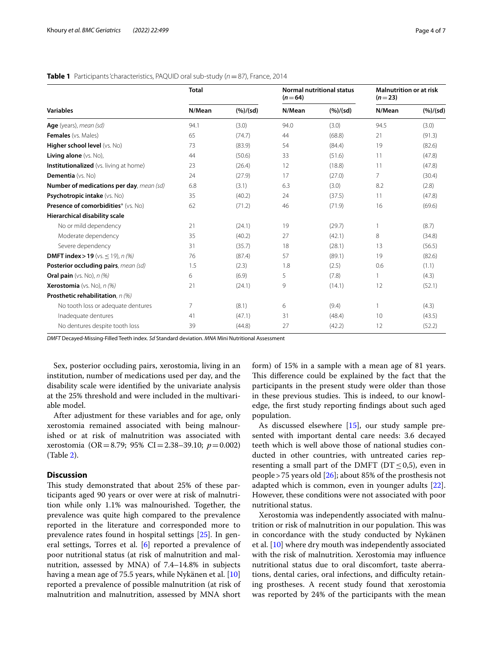| <b>Variables</b>                                 | <b>Total</b>   |          | <b>Normal nutritional status</b><br>$(n=64)$ |             | <b>Malnutrition or at risk</b><br>$(n=23)$ |          |
|--------------------------------------------------|----------------|----------|----------------------------------------------|-------------|--------------------------------------------|----------|
|                                                  | N/Mean         | (%)/(sd) | N/Mean                                       | $(\%)/(sd)$ | N/Mean                                     | (%)/(sd) |
| Age (years), mean (sd)                           | 94.1           | (3.0)    | 94.0                                         | (3.0)       | 94.5                                       | (3.0)    |
| Females (vs. Males)                              | 65             | (74.7)   | 44                                           | (68.8)      | 21                                         | (91.3)   |
| Higher school level (VS. No)                     | 73             | (83.9)   | 54                                           | (84.4)      | 19                                         | (82.6)   |
| Living alone (vs. No),                           | 44             | (50.6)   | 33                                           | (51.6)      | 11                                         | (47.8)   |
| <b>Institutionalized</b> (vs. living at home)    | 23             | (26.4)   | 12                                           | (18.8)      | 11                                         | (47.8)   |
| <b>Dementia</b> (vs. No)                         | 24             | (27.9)   | 17                                           | (27.0)      | 7                                          | (30.4)   |
| Number of medications per day, mean (sd)         | 6.8            | (3.1)    | 6.3                                          | (3.0)       | 8.2                                        | (2.8)    |
| Psychotropic intake (vs. No)                     | 35             | (40.2)   | 24                                           | (37.5)      | 11                                         | (47.8)   |
| <b>Presence of comorbidities</b> * (vs. No)      | 62             | (71.2)   | 46                                           | (71.9)      | 16                                         | (69.6)   |
| Hierarchical disability scale                    |                |          |                                              |             |                                            |          |
| No or mild dependency                            | 21             | (24.1)   | 19                                           | (29.7)      | 1                                          | (8.7)    |
| Moderate dependency                              | 35             | (40.2)   | 27                                           | (42.1)      | 8                                          | (34.8)   |
| Severe dependency                                | 31             | (35.7)   | 18                                           | (28.1)      | 13                                         | (56.5)   |
| <b>DMFT index &gt; 19</b> (vs. $\leq$ 19), n (%) | 76             | (87.4)   | 57                                           | (89.1)      | 19                                         | (82.6)   |
| Posterior occluding pairs, mean (sd)             | 1.5            | (2.3)    | 1.8                                          | (2.5)       | 0.6                                        | (1.1)    |
| <b>Oral pain</b> (vs. No), $n$ (%)               | 6              | (6.9)    | 5                                            | (7.8)       | 1                                          | (4.3)    |
| <b>Xerostomia</b> (vs. No), $n$ (%)              | 21             | (24.1)   | 9                                            | (14.1)      | 12                                         | (52.1)   |
| <b>Prosthetic rehabilitation</b> , n (%)         |                |          |                                              |             |                                            |          |
| No tooth loss or adequate dentures               | $\overline{7}$ | (8.1)    | 6                                            | (9.4)       | 1                                          | (4.3)    |
| Inadequate dentures                              | 41             | (47.1)   | 31                                           | (48.4)      | 10                                         | (43.5)   |
| No dentures despite tooth loss                   | 39             | (44.8)   | 27                                           | (42.2)      | 12                                         | (52.2)   |

# <span id="page-3-0"></span>**Table 1** Participants 'characteristics, PAQUID oral sub-study (*n*=87), France, 2014

*DMFT* Decayed-Missing-Filled Teeth index. *Sd* Standard deviation. *MNA* Mini Nutritional Assessment

Sex, posterior occluding pairs, xerostomia, living in an institution, number of medications used per day, and the disability scale were identifed by the univariate analysis at the 25% threshold and were included in the multivariable model.

After adjustment for these variables and for age, only xerostomia remained associated with being malnourished or at risk of malnutrition was associated with xerostomia (OR=8.79; 95% CI=2.38–39.10; *p*=0.002) (Table [2](#page-4-0)).

# **Discussion**

This study demonstrated that about 25% of these participants aged 90 years or over were at risk of malnutrition while only 1.1% was malnourished. Together, the prevalence was quite high compared to the prevalence reported in the literature and corresponded more to prevalence rates found in hospital settings [\[25](#page-6-14)]. In general settings, Torres et al. [[6](#page-5-5)] reported a prevalence of poor nutritional status (at risk of malnutrition and malnutrition, assessed by MNA) of 7.4–14.8% in subjects having a mean age of 75.5 years, while Nykänen et al. [[10](#page-6-15)] reported a prevalence of possible malnutrition (at risk of malnutrition and malnutrition, assessed by MNA short form) of 15% in a sample with a mean age of 81 years. This difference could be explained by the fact that the participants in the present study were older than those in these previous studies. This is indeed, to our knowledge, the frst study reporting fndings about such aged population.

As discussed elsewhere [\[15](#page-6-4)], our study sample presented with important dental care needs: 3.6 decayed teeth which is well above those of national studies conducted in other countries, with untreated caries representing a small part of the DMFT ( $DT \le 0.5$ ), even in people>75 years old [[26](#page-6-16)]; about 85% of the prosthesis not adapted which is common, even in younger adults [\[22](#page-6-11)]. However, these conditions were not associated with poor nutritional status.

Xerostomia was independently associated with malnutrition or risk of malnutrition in our population. This was in concordance with the study conducted by Nykänen et al. [[10](#page-6-15)] where dry mouth was independently associated with the risk of malnutrition. Xerostomia may infuence nutritional status due to oral discomfort, taste aberrations, dental caries, oral infections, and difficulty retaining prostheses. A recent study found that xerostomia was reported by 24% of the participants with the mean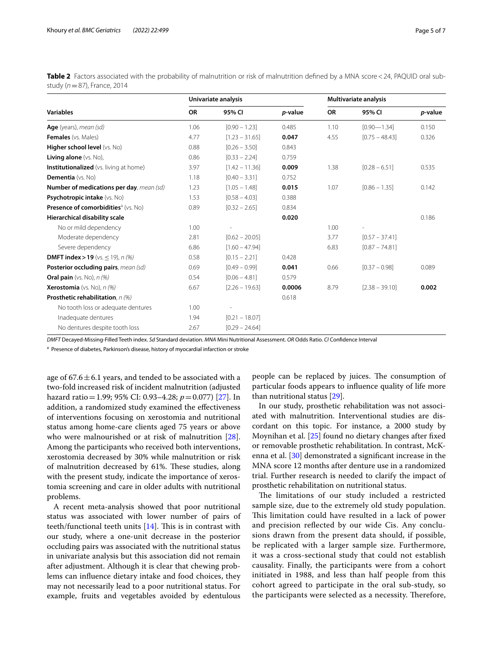<span id="page-4-0"></span>**Table 2** Factors associated with the probability of malnutrition or risk of malnutrition defined by a MNA score < 24, PAQUID oral substudy (*n*=87), France, 2014

|                                                       |           | Univariate analysis |         |           | <b>Multivariate analysis</b> |         |  |
|-------------------------------------------------------|-----------|---------------------|---------|-----------|------------------------------|---------|--|
| <b>Variables</b>                                      | <b>OR</b> | 95% CI              | p-value | <b>OR</b> | 95% CI                       | p-value |  |
| Age (years), mean (sd)                                | 1.06      | $[0.90 - 1.23]$     | 0.485   | 1.10      | $[0.90 - 1.34]$              | 0.150   |  |
| Females (vs. Males)                                   | 4.77      | $[1.23 - 31.65]$    | 0.047   | 4.55      | $[0.75 - 48.43]$             | 0.326   |  |
| Higher school level (vs. No)                          | 0.88      | $[0.26 - 3.50]$     | 0.843   |           |                              |         |  |
| Living alone (vs. No),                                | 0.86      | $[0.33 - 2.24]$     | 0.759   |           |                              |         |  |
| <b>Institutionalized</b> (vs. living at home)         | 3.97      | $[1.42 - 11.36]$    | 0.009   | 1.38      | $[0.28 - 6.51]$              | 0.535   |  |
| <b>Dementia</b> (vs. No)                              | 1.18      | $[0.40 - 3.31]$     | 0.752   |           |                              |         |  |
| Number of medications per day, mean (sd)              | 1.23      | $[1.05 - 1.48]$     | 0.015   | 1.07      | $[0.86 - 1.35]$              | 0.142   |  |
| <b>Psychotropic intake (vs. No)</b>                   | 1.53      | $[0.58 - 4.03]$     | 0.388   |           |                              |         |  |
| <b>Presence of comorbidities<sup>a</sup></b> (vs. No) | 0.89      | $[0.32 - 2.65]$     | 0.834   |           |                              |         |  |
| Hierarchical disability scale                         |           |                     | 0.020   |           |                              | 0.186   |  |
| No or mild dependency                                 | 1.00      |                     |         | 1.00      |                              |         |  |
| Moderate dependency                                   | 2.81      | $[0.62 - 20.05]$    |         | 3.77      | $[0.57 - 37.41]$             |         |  |
| Severe dependency                                     | 6.86      | $[1.60 - 47.94]$    |         | 6.83      | $[0.87 - 74.81]$             |         |  |
| <b>DMFT index &gt; 19</b> (vs. $\leq$ 19), n (%)      | 0.58      | $[0.15 - 2.21]$     | 0.428   |           |                              |         |  |
| Posterior occluding pairs, mean (sd)                  | 0.69      | $[0.49 - 0.99]$     | 0.041   | 0.66      | $[0.37 - 0.98]$              | 0.089   |  |
| <b>Oral pain</b> (vs. No), $n$ (%)                    | 0.54      | $[0.06 - 4.81]$     | 0.579   |           |                              |         |  |
| <b>Xerostomia</b> (vs. No), $n$ (%)                   | 6.67      | $[2.26 - 19.63]$    | 0.0006  | 8.79      | $[2.38 - 39.10]$             | 0.002   |  |
| <b>Prosthetic rehabilitation</b> , n (%)              |           |                     | 0.618   |           |                              |         |  |
| No tooth loss or adequate dentures                    | 1.00      |                     |         |           |                              |         |  |
| Inadequate dentures                                   | 1.94      | $[0.21 - 18.07]$    |         |           |                              |         |  |
| No dentures despite tooth loss                        | 2.67      | $[0.29 - 24.64]$    |         |           |                              |         |  |
|                                                       |           |                     |         |           |                              |         |  |

*DMFT* Decayed-Missing-Filled Teeth index. *Sd* Standard deviation. *MNA* Mini Nutritional Assessment. *OR* Odds Ratio. *CI* Confdence Interval

<sup>a</sup> Presence of diabetes, Parkinson's disease, history of myocardial infarction or stroke

age of  $67.6 \pm 6.1$  years, and tended to be associated with a two-fold increased risk of incident malnutrition (adjusted hazard ratio=1.99; 95% CI: 0.93–4.28; *p*=0.077) [[27\]](#page-6-17). In addition, a randomized study examined the efectiveness of interventions focusing on xerostomia and nutritional status among home-care clients aged 75 years or above who were malnourished or at risk of malnutrition [\[28](#page-6-18)]. Among the participants who received both interventions, xerostomia decreased by 30% while malnutrition or risk of malnutrition decreased by 61%. These studies, along with the present study, indicate the importance of xerostomia screening and care in older adults with nutritional problems.

A recent meta-analysis showed that poor nutritional status was associated with lower number of pairs of teeth/functional teeth units  $[14]$  $[14]$  $[14]$ . This is in contrast with our study, where a one-unit decrease in the posterior occluding pairs was associated with the nutritional status in univariate analysis but this association did not remain after adjustment. Although it is clear that chewing problems can infuence dietary intake and food choices, they may not necessarily lead to a poor nutritional status. For example, fruits and vegetables avoided by edentulous people can be replaced by juices. The consumption of particular foods appears to infuence quality of life more than nutritional status [\[29\]](#page-6-19).

In our study, prosthetic rehabilitation was not associated with malnutrition. Interventional studies are discordant on this topic. For instance, a 2000 study by Moynihan et al. [[25\]](#page-6-14) found no dietary changes after fxed or removable prosthetic rehabilitation. In contrast, McKenna et al. [\[30](#page-6-20)] demonstrated a signifcant increase in the MNA score 12 months after denture use in a randomized trial. Further research is needed to clarify the impact of prosthetic rehabilitation on nutritional status.

The limitations of our study included a restricted sample size, due to the extremely old study population. This limitation could have resulted in a lack of power and precision refected by our wide Cis. Any conclusions drawn from the present data should, if possible, be replicated with a larger sample size. Furthermore, it was a cross-sectional study that could not establish causality. Finally, the participants were from a cohort initiated in 1988, and less than half people from this cohort agreed to participate in the oral sub-study, so the participants were selected as a necessity. Therefore,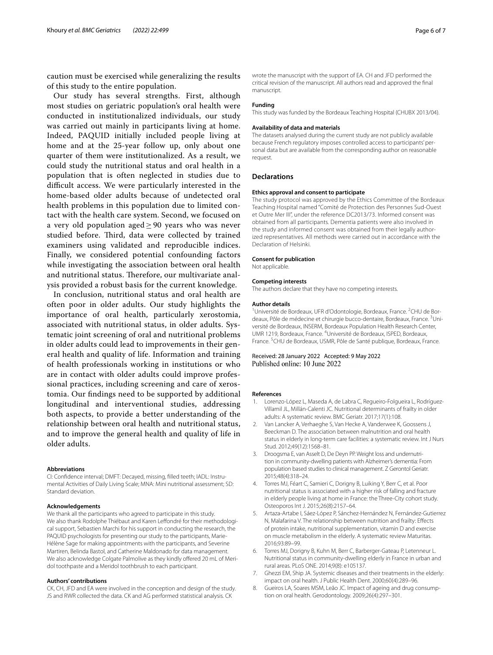caution must be exercised while generalizing the results of this study to the entire population.

Our study has several strengths. First, although most studies on geriatric population's oral health were conducted in institutionalized individuals, our study was carried out mainly in participants living at home. Indeed, PAQUID initially included people living at home and at the 25-year follow up, only about one quarter of them were institutionalized. As a result, we could study the nutritional status and oral health in a population that is often neglected in studies due to difficult access. We were particularly interested in the home-based older adults because of undetected oral health problems in this population due to limited contact with the health care system. Second, we focused on a very old population aged  $\geq$  90 years who was never studied before. Third, data were collected by trained examiners using validated and reproducible indices. Finally, we considered potential confounding factors while investigating the association between oral health and nutritional status. Therefore, our multivariate analysis provided a robust basis for the current knowledge.

In conclusion, nutritional status and oral health are often poor in older adults. Our study highlights the importance of oral health, particularly xerostomia, associated with nutritional status, in older adults. Systematic joint screening of oral and nutritional problems in older adults could lead to improvements in their general health and quality of life. Information and training of health professionals working in institutions or who are in contact with older adults could improve professional practices, including screening and care of xerostomia. Our fndings need to be supported by additional longitudinal and interventional studies, addressing both aspects, to provide a better understanding of the relationship between oral health and nutritional status, and to improve the general health and quality of life in older adults.

#### **Abbreviations**

CI: Confidence interval; DMFT: Decayed, missing, filled teeth; IADL: Instrumental Activities of Daily Living Scale; MNA: Mini nutritional assessment; SD: Standard deviation.

#### **Acknowledgements**

We thank all the participants who agreed to participate in this study. We also thank Rodolphe Thiébaut and Karen Leffondré for their methodological support, Sebastien Marchi for his support in conducting the research, the PAQUID psychologists for presenting our study to the participants, Marie-Hélène Sage for making appointments with the participants, and Severine Martiren, Belinda Bastol, and Catherine Maldonado for data management. We also acknowledge Colgate Palmolive as they kindly offered 20 mL of Meridol toothpaste and a Meridol toothbrush to each participant.

### **Authors' contributions**

CK, CH, JFD and EA were involved in the conception and design of the study. JS and RWR collected the data. CK and AG performed statistical analysis. CK

wrote the manuscript with the support of EA. CH and JFD performed the critical revision of the manuscript. All authors read and approved the fnal manuscript.

#### **Funding**

This study was funded by the Bordeaux Teaching Hospital (CHUBX 2013/04).

#### **Availability of data and materials**

The datasets analysed during the current study are not publicly available because French regulatory imposes controlled access to participants' per‑ sonal data but are available from the corresponding author on reasonable request.

#### **Declarations**

#### **Ethics approval and consent to participate**

The study protocol was approved by the Ethics Committee of the Bordeaux Teaching Hospital named "Comité de Protection des Personnes Sud-Ouest et Outre Mer III", under the reference DC2013/73. Informed consent was obtained from all participants. Dementia patients were also involved in the study and informed consent was obtained from their legally authorized representatives. All methods were carried out in accordance with the Declaration of Helsinki.

#### **Consent for publication**

Not applicable.

#### **Competing interests**

The authors declare that they have no competing interests.

#### **Author details**

<sup>1</sup> Université de Bordeaux, UFR d'Odontologie, Bordeaux, France. <sup>2</sup> CHU de Bordeaux, Pôle de médecine et chirurgie bucco-dentaire, Bordeaux, France. <sup>3</sup>Université de Bordeaux, INSERM, Bordeaux Population Health Research Center, UMR 1219, Bordeaux, France. <sup>4</sup>Université de Bordeaux, ISPED, Bordeaux, France.<sup>5</sup> CHU de Bordeaux, USMR, Pôle de Santé publique, Bordeaux, France.

# Received: 28 January 2022 Accepted: 9 May 2022 Published online: 10 June 2022

#### **References**

- <span id="page-5-4"></span>1. Lorenzo-López L, Maseda A, de Labra C, Regueiro-Folgueira L, Rodríguez-Villamil JL, Millán-Calenti JC. Nutritional determinants of frailty in older adults: A systematic review. BMC Geriatr. 2017;17(1):108.
- <span id="page-5-3"></span>2. Van Lancker A, Verhaeghe S, Van Hecke A, Vanderwee K, Goossens J, Beeckman D. The association between malnutrition and oral health status in elderly in long-term care facilities: a systematic review. Int J Nurs Stud. 2012;49(12):1568–81.
- <span id="page-5-0"></span>3. Droogsma E, van Asselt D, De Deyn PP. Weight loss and undernutrition in community-dwelling patients with Alzheimer's dementia: From population based studies to clinical management. Z Gerontol Geriatr. 2015;48(4):318–24.
- <span id="page-5-1"></span>4. Torres MJ, Féart C, Samieri C, Dorigny B, Luiking Y, Berr C, et al. Poor nutritional status is associated with a higher risk of falling and fracture in elderly people living at home in France: the Three-City cohort study. Osteoporos Int J. 2015;26(8):2157–64.
- <span id="page-5-2"></span>5. Artaza-Artabe I, Sáez-López P, Sánchez-Hernández N, Fernández-Gutierrez N, Malafarina V. The relationship between nutrition and frailty: Efects of protein intake, nutritional supplementation, vitamin D and exercise on muscle metabolism in the elderly. A systematic review Maturitas. 2016;93:89–99.
- <span id="page-5-5"></span>6. Torres MJ, Dorigny B, Kuhn M, Berr C, Barberger-Gateau P, Letenneur L. Nutritional status in community-dwelling elderly in France in urban and rural areas. PLoS ONE. 2014;9(8): e105137.
- <span id="page-5-6"></span>7. Ghezzi EM, Ship JA. Systemic diseases and their treatments in the elderly: impact on oral health. J Public Health Dent. 2000;60(4):289–96.
- <span id="page-5-7"></span>8. Gueiros LA, Soares MSM, Leão JC. Impact of ageing and drug consumption on oral health. Gerodontology. 2009;26(4):297–301.